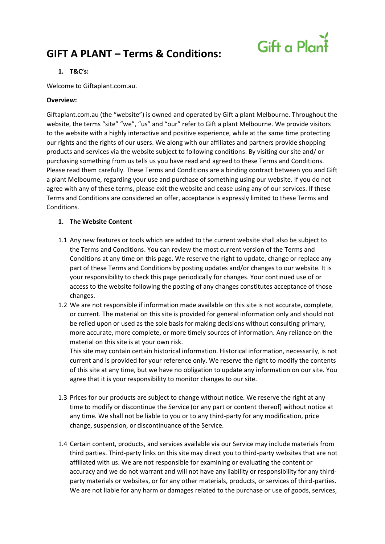# **GIFT A PLANT – Terms & Conditions:**



# **1. T&C's:**

Welcome to Giftaplant.com.au.

# **Overview:**

Giftaplant.com.au (the "website") is owned and operated by Gift a plant Melbourne. Throughout the website, the terms "site" "we", "us" and "our" refer to Gift a plant Melbourne. We provide visitors to the website with a highly interactive and positive experience, while at the same time protecting our rights and the rights of our users. We along with our affiliates and partners provide shopping products and services via the website subject to following conditions. By visiting our site and/ or purchasing something from us tells us you have read and agreed to these Terms and Conditions. Please read them carefully. These Terms and Conditions are a binding contract between you and Gift a plant Melbourne, regarding your use and purchase of something using our website. If you do not agree with any of these terms, please exit the website and cease using any of our services. If these Terms and Conditions are considered an offer, acceptance is expressly limited to these Terms and Conditions*.*

# **1. The Website Content**

- 1.1 Any new features or tools which are added to the current website shall also be subject to the Terms and Conditions. You can review the most current version of the Terms and Conditions at any time on this page. We reserve the right to update, change or replace any part of these Terms and Conditions by posting updates and/or changes to our website. It is your responsibility to check this page periodically for changes. Your continued use of or access to the website following the posting of any changes constitutes acceptance of those changes.
- 1.2 We are not responsible if information made available on this site is not accurate, complete, or current. The material on this site is provided for general information only and should not be relied upon or used as the sole basis for making decisions without consulting primary, more accurate, more complete, or more timely sources of information. Any reliance on the material on this site is at your own risk.

This site may contain certain historical information. Historical information, necessarily, is not current and is provided for your reference only. We reserve the right to modify the contents of this site at any time, but we have no obligation to update any information on our site. You agree that it is your responsibility to monitor changes to our site.

- 1.3 Prices for our products are subject to change without notice. We reserve the right at any time to modify or discontinue the Service (or any part or content thereof) without notice at any time. We shall not be liable to you or to any third-party for any modification, price change, suspension, or discontinuance of the Service.
- 1.4 Certain content, products, and services available via our Service may include materials from third parties. Third-party links on this site may direct you to third-party websites that are not affiliated with us. We are not responsible for examining or evaluating the content or accuracy and we do not warrant and will not have any liability or responsibility for any thirdparty materials or websites, or for any other materials, products, or services of third-parties. We are not liable for any harm or damages related to the purchase or use of goods, services,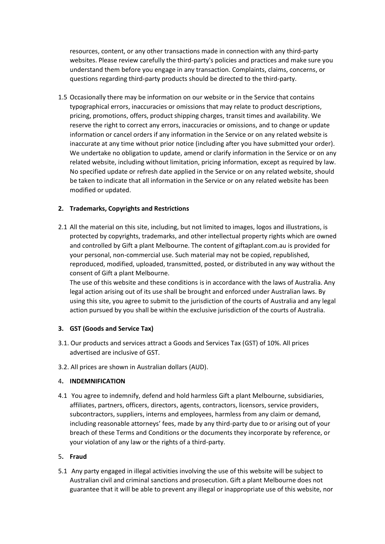resources, content, or any other transactions made in connection with any third-party websites. Please review carefully the third-party's policies and practices and make sure you understand them before you engage in any transaction. Complaints, claims, concerns, or questions regarding third-party products should be directed to the third-party.

1.5 Occasionally there may be information on our website or in the Service that contains typographical errors, inaccuracies or omissions that may relate to product descriptions, pricing, promotions, offers, product shipping charges, transit times and availability. We reserve the right to correct any errors, inaccuracies or omissions, and to change or update information or cancel orders if any information in the Service or on any related website is inaccurate at any time without prior notice (including after you have submitted your order). We undertake no obligation to update, amend or clarify information in the Service or on any related website, including without limitation, pricing information, except as required by law. No specified update or refresh date applied in the Service or on any related website, should be taken to indicate that all information in the Service or on any related website has been modified or updated.

# **2. Trademarks, Copyrights and Restrictions**

2.1 All the material on this site, including, but not limited to images, logos and illustrations, is protected by copyrights, trademarks, and other intellectual property rights which are owned and controlled by Gift a plant Melbourne. The content of giftaplant.com.au is provided for your personal, non-commercial use. Such material may not be copied, republished, reproduced, modified, uploaded, transmitted, posted, or distributed in any way without the consent of Gift a plant Melbourne.

The use of this website and these conditions is in accordance with the laws of Australia. Any legal action arising out of its use shall be brought and enforced under Australian laws. By using this site, you agree to submit to the jurisdiction of the courts of Australia and any legal action pursued by you shall be within the exclusive jurisdiction of the courts of Australia.

#### **3. GST (Goods and Service Tax)**

- 3.1. Our products and services attract a Goods and Services Tax (GST) of 10%. All prices advertised are inclusive of GST.
- 3.2. All prices are shown in Australian dollars (AUD).

# 4**. INDEMNIFICATION**

4.1 You agree to indemnify, defend and hold harmless Gift a plant Melbourne, subsidiaries, affiliates, partners, officers, directors, agents, contractors, licensors, service providers, subcontractors, suppliers, interns and employees, harmless from any claim or demand, including reasonable attorneys' fees, made by any third-party due to or arising out of your breach of these Terms and Conditions or the documents they incorporate by reference, or your violation of any law or the rights of a third-party.

#### 5**. Fraud**

5.1 Any party engaged in illegal activities involving the use of this website will be subject to Australian civil and criminal sanctions and prosecution. Gift a plant Melbourne does not guarantee that it will be able to prevent any illegal or inappropriate use of this website, nor